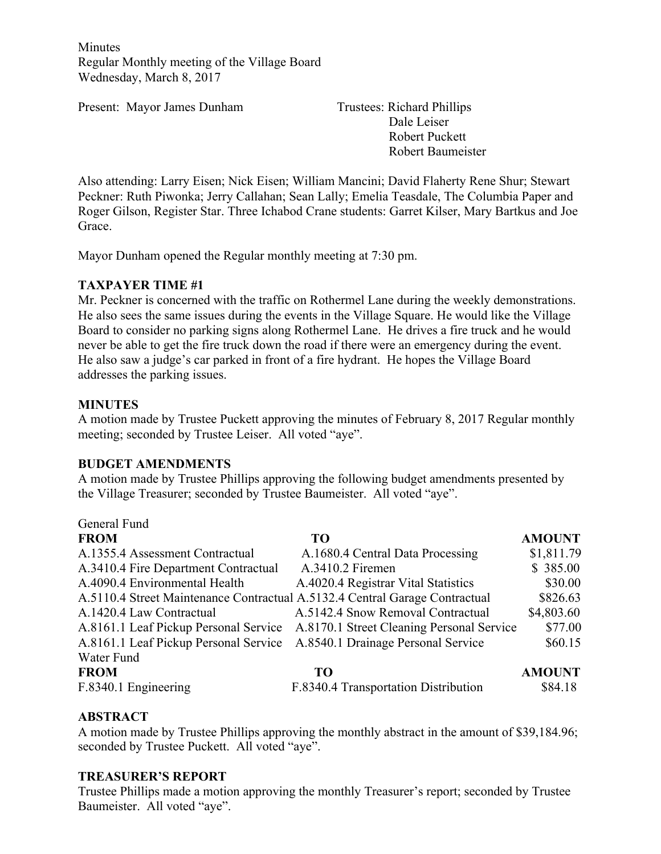Minutes Regular Monthly meeting of the Village Board Wednesday, March 8, 2017

Present: Mayor James Dunham Trustees: Richard Phillips

Dale Leiser Robert Puckett Robert Baumeister

Also attending: Larry Eisen; Nick Eisen; William Mancini; David Flaherty Rene Shur; Stewart Peckner: Ruth Piwonka; Jerry Callahan; Sean Lally; Emelia Teasdale, The Columbia Paper and Roger Gilson, Register Star. Three Ichabod Crane students: Garret Kilser, Mary Bartkus and Joe Grace.

Mayor Dunham opened the Regular monthly meeting at 7:30 pm.

## **TAXPAYER TIME #1**

Mr. Peckner is concerned with the traffic on Rothermel Lane during the weekly demonstrations. He also sees the same issues during the events in the Village Square. He would like the Village Board to consider no parking signs along Rothermel Lane. He drives a fire truck and he would never be able to get the fire truck down the road if there were an emergency during the event. He also saw a judge's car parked in front of a fire hydrant. He hopes the Village Board addresses the parking issues.

## **MINUTES**

A motion made by Trustee Puckett approving the minutes of February 8, 2017 Regular monthly meeting; seconded by Trustee Leiser. All voted "aye".

#### **BUDGET AMENDMENTS**

A motion made by Trustee Phillips approving the following budget amendments presented by the Village Treasurer; seconded by Trustee Baumeister. All voted "aye".

| General Fund                                                                |                                                                                 |               |
|-----------------------------------------------------------------------------|---------------------------------------------------------------------------------|---------------|
| <b>FROM</b>                                                                 | <b>TO</b>                                                                       | <b>AMOUNT</b> |
| A.1355.4 Assessment Contractual                                             | A.1680.4 Central Data Processing                                                | \$1,811.79    |
| A.3410.4 Fire Department Contractual                                        | A.3410.2 Firemen                                                                | \$385.00      |
| A.4090.4 Environmental Health                                               | A.4020.4 Registrar Vital Statistics                                             | \$30.00       |
| A.5110.4 Street Maintenance Contractual A.5132.4 Central Garage Contractual |                                                                                 | \$826.63      |
| A.1420.4 Law Contractual                                                    | A.5142.4 Snow Removal Contractual                                               | \$4,803.60    |
|                                                                             | A.8161.1 Leaf Pickup Personal Service A.8170.1 Street Cleaning Personal Service | \$77.00       |
| A.8161.1 Leaf Pickup Personal Service                                       | A.8540.1 Drainage Personal Service                                              | \$60.15       |
| Water Fund                                                                  |                                                                                 |               |
| <b>FROM</b>                                                                 | TO                                                                              | <b>AMOUNT</b> |
| F.8340.1 Engineering                                                        | F.8340.4 Transportation Distribution                                            | \$84.18       |

# **ABSTRACT**

A motion made by Trustee Phillips approving the monthly abstract in the amount of \$39,184.96; seconded by Trustee Puckett. All voted "aye".

#### **TREASURER'S REPORT**

Trustee Phillips made a motion approving the monthly Treasurer's report; seconded by Trustee Baumeister. All voted "aye".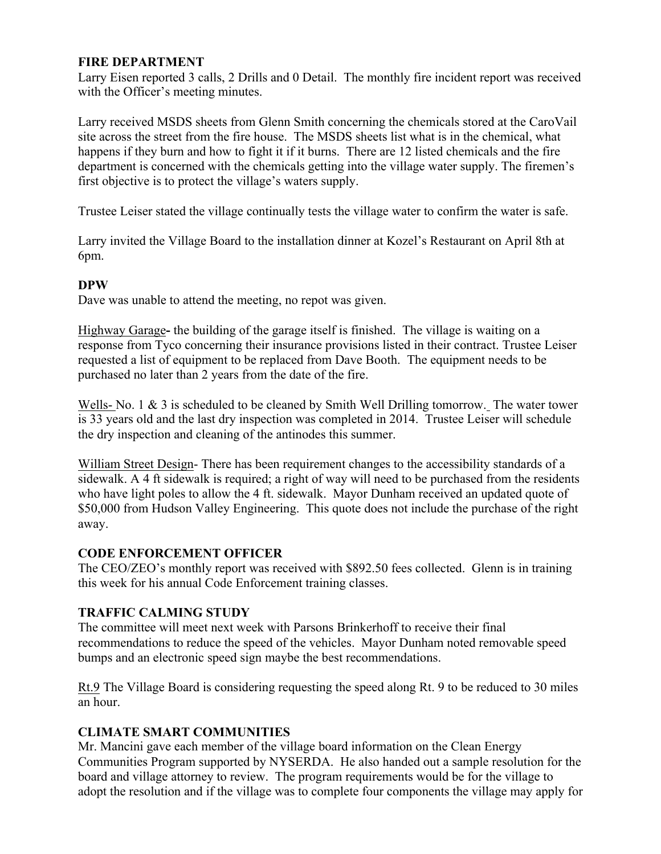## **FIRE DEPARTMENT**

Larry Eisen reported 3 calls, 2 Drills and 0 Detail. The monthly fire incident report was received with the Officer's meeting minutes.

Larry received MSDS sheets from Glenn Smith concerning the chemicals stored at the CaroVail site across the street from the fire house. The MSDS sheets list what is in the chemical, what happens if they burn and how to fight it if it burns. There are 12 listed chemicals and the fire department is concerned with the chemicals getting into the village water supply. The firemen's first objective is to protect the village's waters supply.

Trustee Leiser stated the village continually tests the village water to confirm the water is safe.

Larry invited the Village Board to the installation dinner at Kozel's Restaurant on April 8th at 6pm.

## **DPW**

Dave was unable to attend the meeting, no repot was given.

Highway Garage**-** the building of the garage itself is finished. The village is waiting on a response from Tyco concerning their insurance provisions listed in their contract. Trustee Leiser requested a list of equipment to be replaced from Dave Booth. The equipment needs to be purchased no later than 2 years from the date of the fire.

Wells- No. 1 & 3 is scheduled to be cleaned by Smith Well Drilling tomorrow. The water tower is 33 years old and the last dry inspection was completed in 2014. Trustee Leiser will schedule the dry inspection and cleaning of the antinodes this summer.

William Street Design- There has been requirement changes to the accessibility standards of a sidewalk. A 4 ft sidewalk is required; a right of way will need to be purchased from the residents who have light poles to allow the 4 ft. sidewalk. Mayor Dunham received an updated quote of \$50,000 from Hudson Valley Engineering. This quote does not include the purchase of the right away.

#### **CODE ENFORCEMENT OFFICER**

The CEO/ZEO's monthly report was received with \$892.50 fees collected. Glenn is in training this week for his annual Code Enforcement training classes.

#### **TRAFFIC CALMING STUDY**

The committee will meet next week with Parsons Brinkerhoff to receive their final recommendations to reduce the speed of the vehicles. Mayor Dunham noted removable speed bumps and an electronic speed sign maybe the best recommendations.

Rt.9 The Village Board is considering requesting the speed along Rt. 9 to be reduced to 30 miles an hour.

# **CLIMATE SMART COMMUNITIES**

Mr. Mancini gave each member of the village board information on the Clean Energy Communities Program supported by NYSERDA. He also handed out a sample resolution for the board and village attorney to review. The program requirements would be for the village to adopt the resolution and if the village was to complete four components the village may apply for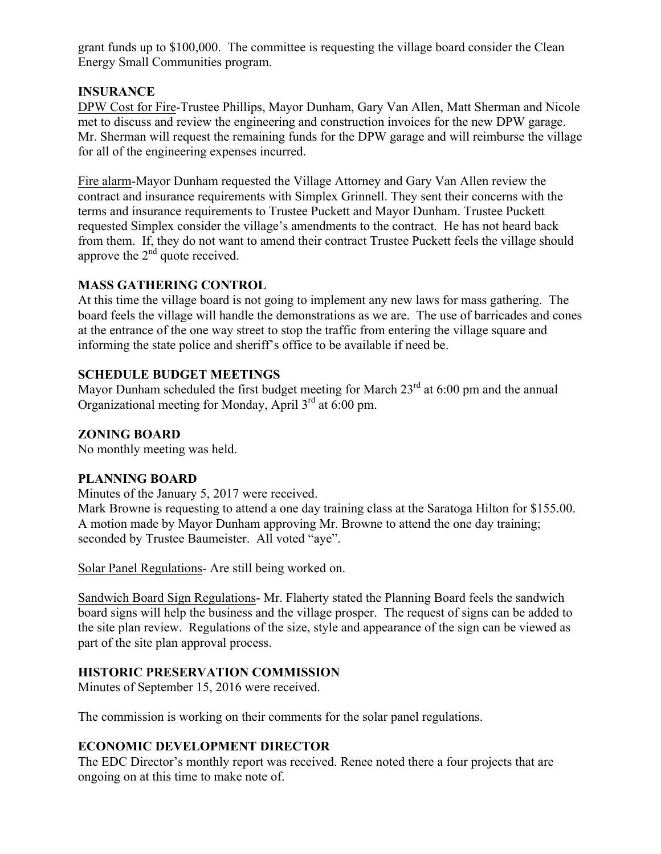grant funds up to \$100,000. The committee is requesting the village board consider the Clean Energy Small Communities program.

## **INSURANCE**

DPW Cost for Fire-Trustee Phillips, Mayor Dunham, Gary Van Allen, Matt Sherman and Nicole met to discuss and review the engineering and construction invoices for the new DPW garage. Mr. Sherman will request the remaining funds for the DPW garage and will reimburse the village for all of the engineering expenses incurred.

Fire alarm-Mayor Dunham requested the Village Attorney and Gary Van Allen review the contract and insurance requirements with Simplex Grinnell. They sent their concerns with the terms and insurance requirements to Trustee Puckett and Mayor Dunham. Trustee Puckett requested Simplex consider the village's amendments to the contract. He has not heard back from them. If, they do not want to amend their contract Trustee Puckett feels the village should approve the  $2<sup>nd</sup>$  quote received.

## **MASS GATHERING CONTROL**

At this time the village board is not going to implement any new laws for mass gathering. The board feels the village will handle the demonstrations as we are. The use of barricades and cones at the entrance of the one way street to stop the traffic from entering the village square and informing the state police and sheriff's office to be available if need be.

# **SCHEDULE BUDGET MEETINGS**

Mayor Dunham scheduled the first budget meeting for March  $23<sup>rd</sup>$  at 6:00 pm and the annual Organizational meeting for Monday, April  $3<sup>rd</sup>$  at 6:00 pm.

## **ZONING BOARD**

No monthly meeting was held.

#### **PLANNING BOARD**

Minutes of the January 5, 2017 were received.

Mark Browne is requesting to attend a one day training class at the Saratoga Hilton for \$155.00. A motion made by Mayor Dunham approving Mr. Browne to attend the one day training; seconded by Trustee Baumeister. All voted "aye".

Solar Panel Regulations- Are still being worked on.

Sandwich Board Sign Regulations- Mr. Flaherty stated the Planning Board feels the sandwich board signs will help the business and the village prosper. The request of signs can be added to the site plan review. Regulations of the size, style and appearance of the sign can be viewed as part of the site plan approval process.

# **HISTORIC PRESERVATION COMMISSION**

Minutes of September 15, 2016 were received.

The commission is working on their comments for the solar panel regulations.

# **ECONOMIC DEVELOPMENT DIRECTOR**

The EDC Director's monthly report was received. Renee noted there a four projects that are ongoing on at this time to make note of.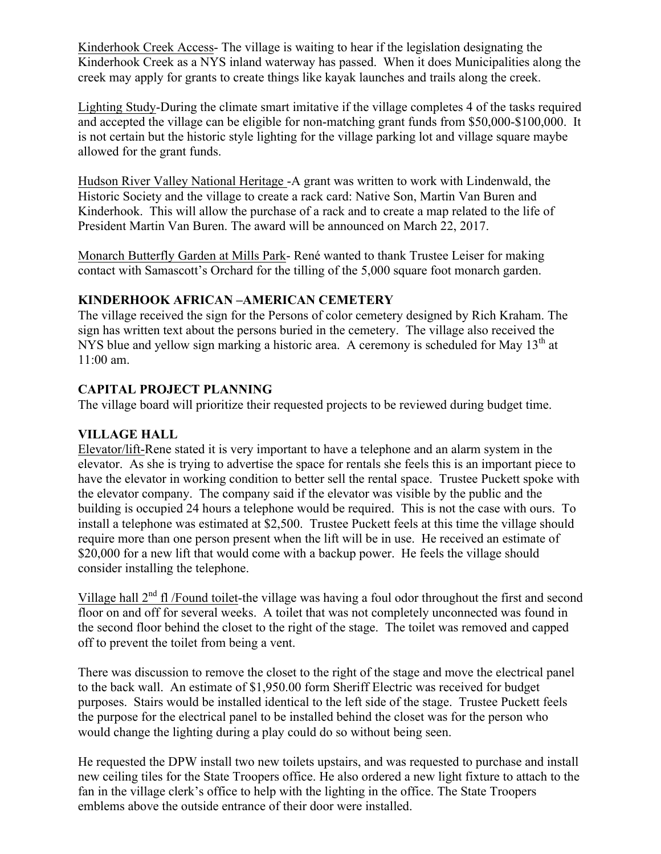Kinderhook Creek Access- The village is waiting to hear if the legislation designating the Kinderhook Creek as a NYS inland waterway has passed. When it does Municipalities along the creek may apply for grants to create things like kayak launches and trails along the creek.

Lighting Study-During the climate smart imitative if the village completes 4 of the tasks required and accepted the village can be eligible for non-matching grant funds from \$50,000-\$100,000. It is not certain but the historic style lighting for the village parking lot and village square maybe allowed for the grant funds.

Hudson River Valley National Heritage -A grant was written to work with Lindenwald, the Historic Society and the village to create a rack card: Native Son, Martin Van Buren and Kinderhook. This will allow the purchase of a rack and to create a map related to the life of President Martin Van Buren. The award will be announced on March 22, 2017.

Monarch Butterfly Garden at Mills Park- René wanted to thank Trustee Leiser for making contact with Samascott's Orchard for the tilling of the 5,000 square foot monarch garden.

# **KINDERHOOK AFRICAN –AMERICAN CEMETERY**

The village received the sign for the Persons of color cemetery designed by Rich Kraham. The sign has written text about the persons buried in the cemetery. The village also received the NYS blue and vellow sign marking a historic area. A ceremony is scheduled for May  $13<sup>th</sup>$  at 11:00 am.

# **CAPITAL PROJECT PLANNING**

The village board will prioritize their requested projects to be reviewed during budget time.

# **VILLAGE HALL**

Elevator/lift-Rene stated it is very important to have a telephone and an alarm system in the elevator. As she is trying to advertise the space for rentals she feels this is an important piece to have the elevator in working condition to better sell the rental space. Trustee Puckett spoke with the elevator company. The company said if the elevator was visible by the public and the building is occupied 24 hours a telephone would be required. This is not the case with ours. To install a telephone was estimated at \$2,500. Trustee Puckett feels at this time the village should require more than one person present when the lift will be in use. He received an estimate of \$20,000 for a new lift that would come with a backup power. He feels the village should consider installing the telephone.

Village hall  $2<sup>nd</sup>$  fl /Found toilet-the village was having a foul odor throughout the first and second floor on and off for several weeks. A toilet that was not completely unconnected was found in the second floor behind the closet to the right of the stage. The toilet was removed and capped off to prevent the toilet from being a vent.

There was discussion to remove the closet to the right of the stage and move the electrical panel to the back wall. An estimate of \$1,950.00 form Sheriff Electric was received for budget purposes. Stairs would be installed identical to the left side of the stage. Trustee Puckett feels the purpose for the electrical panel to be installed behind the closet was for the person who would change the lighting during a play could do so without being seen.

He requested the DPW install two new toilets upstairs, and was requested to purchase and install new ceiling tiles for the State Troopers office. He also ordered a new light fixture to attach to the fan in the village clerk's office to help with the lighting in the office. The State Troopers emblems above the outside entrance of their door were installed.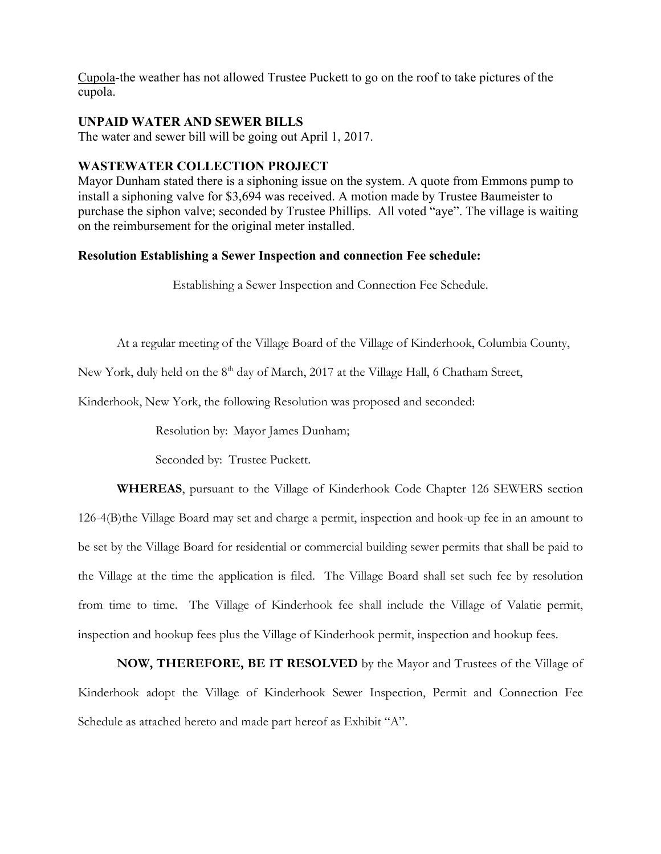Cupola-the weather has not allowed Trustee Puckett to go on the roof to take pictures of the cupola.

#### **UNPAID WATER AND SEWER BILLS**

The water and sewer bill will be going out April 1, 2017.

#### **WASTEWATER COLLECTION PROJECT**

Mayor Dunham stated there is a siphoning issue on the system. A quote from Emmons pump to install a siphoning valve for \$3,694 was received. A motion made by Trustee Baumeister to purchase the siphon valve; seconded by Trustee Phillips. All voted "aye". The village is waiting on the reimbursement for the original meter installed.

#### **Resolution Establishing a Sewer Inspection and connection Fee schedule:**

Establishing a Sewer Inspection and Connection Fee Schedule.

At a regular meeting of the Village Board of the Village of Kinderhook, Columbia County,

New York, duly held on the 8<sup>th</sup> day of March, 2017 at the Village Hall, 6 Chatham Street,

Kinderhook, New York, the following Resolution was proposed and seconded:

Resolution by: Mayor James Dunham;

Seconded by: Trustee Puckett.

**WHEREAS**, pursuant to the Village of Kinderhook Code Chapter 126 SEWERS section 126-4(B)the Village Board may set and charge a permit, inspection and hook-up fee in an amount to be set by the Village Board for residential or commercial building sewer permits that shall be paid to the Village at the time the application is filed. The Village Board shall set such fee by resolution from time to time. The Village of Kinderhook fee shall include the Village of Valatie permit, inspection and hookup fees plus the Village of Kinderhook permit, inspection and hookup fees.

**NOW, THEREFORE, BE IT RESOLVED** by the Mayor and Trustees of the Village of Kinderhook adopt the Village of Kinderhook Sewer Inspection, Permit and Connection Fee Schedule as attached hereto and made part hereof as Exhibit "A".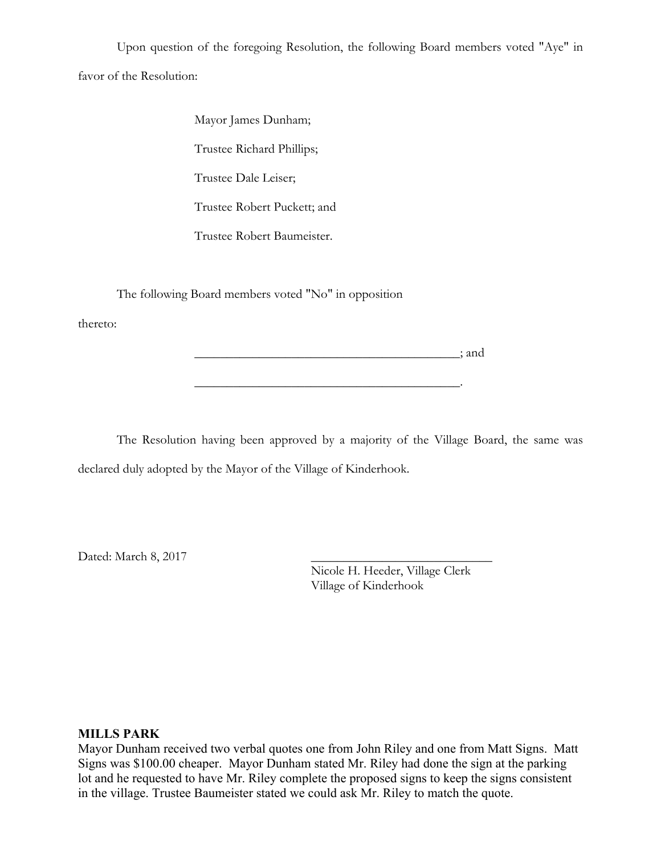Upon question of the foregoing Resolution, the following Board members voted "Aye" in favor of the Resolution:

> Mayor James Dunham; Trustee Richard Phillips; Trustee Dale Leiser; Trustee Robert Puckett; and Trustee Robert Baumeister.

The following Board members voted "No" in opposition

thereto:

 $\therefore$  and  $\therefore$  and  $\therefore$  and  $\therefore$  and  $\therefore$  and  $\therefore$ 

The Resolution having been approved by a majority of the Village Board, the same was declared duly adopted by the Mayor of the Village of Kinderhook.

\_\_\_\_\_\_\_\_\_\_\_\_\_\_\_\_\_\_\_\_\_\_\_\_\_\_\_\_\_\_\_\_\_\_\_\_\_\_\_\_\_.

Dated: March 8, 2017

Nicole H. Heeder, Village Clerk Village of Kinderhook

#### **MILLS PARK**

Mayor Dunham received two verbal quotes one from John Riley and one from Matt Signs. Matt Signs was \$100.00 cheaper. Mayor Dunham stated Mr. Riley had done the sign at the parking lot and he requested to have Mr. Riley complete the proposed signs to keep the signs consistent in the village. Trustee Baumeister stated we could ask Mr. Riley to match the quote.